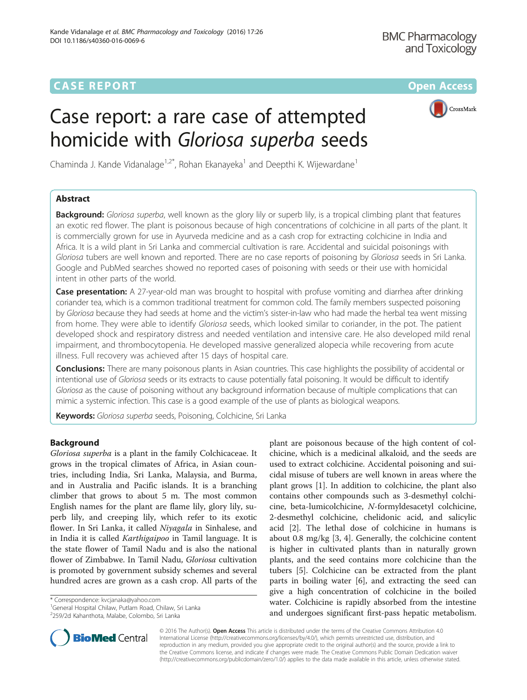# **CASE REPORT CASE REPORT CASE REPORT**

# Case report: a rare case of attempted

CrossMark

# homicide with Gloriosa superba seeds Chaminda J. Kande Vidanalage<sup>1,2\*</sup>, Rohan Ekanayeka<sup>1</sup> and Deepthi K. Wijewardane<sup>1</sup>

Abstract

**Background:** Gloriosa superba, well known as the glory lily or superb lily, is a tropical climbing plant that features an exotic red flower. The plant is poisonous because of high concentrations of colchicine in all parts of the plant. It is commercially grown for use in Ayurveda medicine and as a cash crop for extracting colchicine in India and Africa. It is a wild plant in Sri Lanka and commercial cultivation is rare. Accidental and suicidal poisonings with Gloriosa tubers are well known and reported. There are no case reports of poisoning by Gloriosa seeds in Sri Lanka. Google and PubMed searches showed no reported cases of poisoning with seeds or their use with homicidal intent in other parts of the world.

Case presentation: A 27-year-old man was brought to hospital with profuse vomiting and diarrhea after drinking coriander tea, which is a common traditional treatment for common cold. The family members suspected poisoning by Gloriosa because they had seeds at home and the victim's sister-in-law who had made the herbal tea went missing from home. They were able to identify Gloriosa seeds, which looked similar to coriander, in the pot. The patient developed shock and respiratory distress and needed ventilation and intensive care. He also developed mild renal impairment, and thrombocytopenia. He developed massive generalized alopecia while recovering from acute illness. Full recovery was achieved after 15 days of hospital care.

**Conclusions:** There are many poisonous plants in Asian countries. This case highlights the possibility of accidental or intentional use of Gloriosa seeds or its extracts to cause potentially fatal poisoning. It would be difficult to identify Gloriosa as the cause of poisoning without any background information because of multiple complications that can mimic a systemic infection. This case is a good example of the use of plants as biological weapons.

Keywords: Gloriosa superba seeds, Poisoning, Colchicine, Sri Lanka

# Background

Gloriosa superba is a plant in the family Colchicaceae. It grows in the tropical climates of Africa, in Asian countries, including India, Sri Lanka, Malaysia, and Burma, and in Australia and Pacific islands. It is a branching climber that grows to about 5 m. The most common English names for the plant are flame lily, glory lily, superb lily, and creeping lily, which refer to its exotic flower. In Sri Lanka, it called Niyagala in Sinhalese, and in India it is called Karthigaipoo in Tamil language. It is the state flower of Tamil Nadu and is also the national flower of Zimbabwe. In Tamil Nadu, Gloriosa cultivation is promoted by government subsidy schemes and several hundred acres are grown as a cash crop. All parts of the

\* Correspondence: [kvcjanaka@yahoo.com](mailto:kvcjanaka@yahoo.com) <sup>1</sup>

<sup>1</sup>General Hospital Chilaw, Putlam Road, Chilaw, Sri Lanka 2 259/2d Kahanthota, Malabe, Colombo, Sri Lanka

plant are poisonous because of the high content of colchicine, which is a medicinal alkaloid, and the seeds are used to extract colchicine. Accidental poisoning and suicidal misuse of tubers are well known in areas where the plant grows [[1\]](#page-3-0). In addition to colchicine, the plant also contains other compounds such as 3-desmethyl colchicine, beta-lumicolchicine, N-formyldesacetyl colchicine, 2-desmethyl colchicine, chelidonic acid, and salicylic acid [\[2](#page-3-0)]. The lethal dose of colchicine in humans is about 0.8 mg/kg [[3, 4\]](#page-3-0). Generally, the colchicine content is higher in cultivated plants than in naturally grown plants, and the seed contains more colchicine than the tubers [[5\]](#page-3-0). Colchicine can be extracted from the plant parts in boiling water [[6\]](#page-3-0), and extracting the seed can give a high concentration of colchicine in the boiled water. Colchicine is rapidly absorbed from the intestine and undergoes significant first-pass hepatic metabolism.



© 2016 The Author(s). Open Access This article is distributed under the terms of the Creative Commons Attribution 4.0 International License [\(http://creativecommons.org/licenses/by/4.0/](http://creativecommons.org/licenses/by/4.0/)), which permits unrestricted use, distribution, and reproduction in any medium, provided you give appropriate credit to the original author(s) and the source, provide a link to the Creative Commons license, and indicate if changes were made. The Creative Commons Public Domain Dedication waiver [\(http://creativecommons.org/publicdomain/zero/1.0/](http://creativecommons.org/publicdomain/zero/1.0/)) applies to the data made available in this article, unless otherwise stated.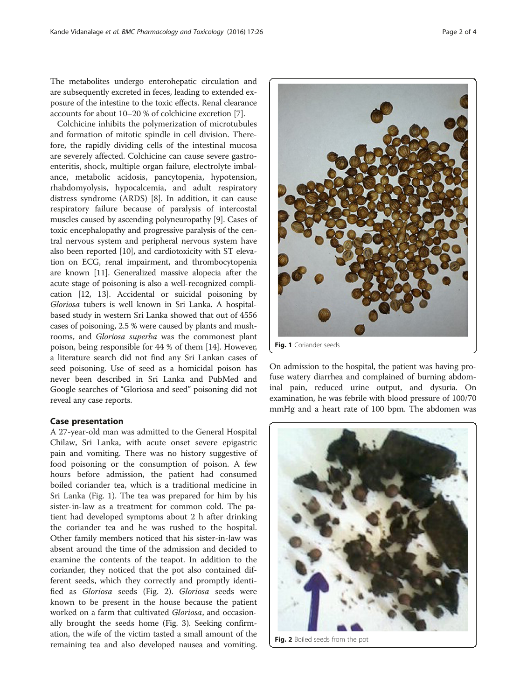The metabolites undergo enterohepatic circulation and are subsequently excreted in feces, leading to extended exposure of the intestine to the toxic effects. Renal clearance accounts for about 10–20 % of colchicine excretion [\[7](#page-3-0)].

Colchicine inhibits the polymerization of microtubules and formation of mitotic spindle in cell division. Therefore, the rapidly dividing cells of the intestinal mucosa are severely affected. Colchicine can cause severe gastroenteritis, shock, multiple organ failure, electrolyte imbalance, metabolic acidosis, pancytopenia, hypotension, rhabdomyolysis, hypocalcemia, and adult respiratory distress syndrome (ARDS) [[8\]](#page-3-0). In addition, it can cause respiratory failure because of paralysis of intercostal muscles caused by ascending polyneuropathy [\[9](#page-3-0)]. Cases of toxic encephalopathy and progressive paralysis of the central nervous system and peripheral nervous system have also been reported [\[10\]](#page-3-0), and cardiotoxicity with ST elevation on ECG, renal impairment, and thrombocytopenia are known [\[11\]](#page-3-0). Generalized massive alopecia after the acute stage of poisoning is also a well-recognized complication [\[12](#page-3-0), [13\]](#page-3-0). Accidental or suicidal poisoning by Gloriosa tubers is well known in Sri Lanka. A hospitalbased study in western Sri Lanka showed that out of 4556 cases of poisoning, 2.5 % were caused by plants and mushrooms, and Gloriosa superba was the commonest plant poison, being responsible for 44 % of them [\[14](#page-3-0)]. However, a literature search did not find any Sri Lankan cases of seed poisoning. Use of seed as a homicidal poison has never been described in Sri Lanka and PubMed and Google searches of "Gloriosa and seed" poisoning did not reveal any case reports.

# Case presentation

A 27-year-old man was admitted to the General Hospital Chilaw, Sri Lanka, with acute onset severe epigastric pain and vomiting. There was no history suggestive of food poisoning or the consumption of poison. A few hours before admission, the patient had consumed boiled coriander tea, which is a traditional medicine in Sri Lanka (Fig. 1). The tea was prepared for him by his sister-in-law as a treatment for common cold. The patient had developed symptoms about 2 h after drinking the coriander tea and he was rushed to the hospital. Other family members noticed that his sister-in-law was absent around the time of the admission and decided to examine the contents of the teapot. In addition to the coriander, they noticed that the pot also contained different seeds, which they correctly and promptly identified as Gloriosa seeds (Fig. 2). Gloriosa seeds were known to be present in the house because the patient worked on a farm that cultivated *Gloriosa*, and occasionally brought the seeds home (Fig. [3](#page-2-0)). Seeking confirmation, the wife of the victim tasted a small amount of the remaining tea and also developed nausea and vomiting.



On admission to the hospital, the patient was having profuse watery diarrhea and complained of burning abdominal pain, reduced urine output, and dysuria. On examination, he was febrile with blood pressure of 100/70 mmHg and a heart rate of 100 bpm. The abdomen was



Fig. 2 Boiled seeds from the pot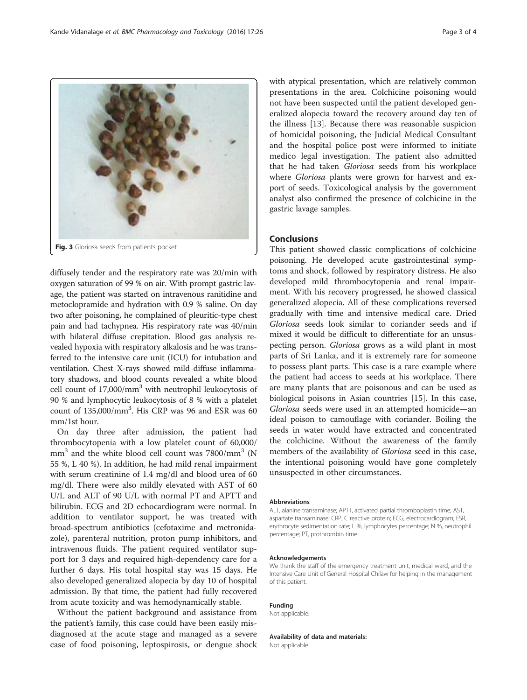diffusely tender and the respiratory rate was 20/min with oxygen saturation of 99 % on air. With prompt gastric lavage, the patient was started on intravenous ranitidine and metoclopramide and hydration with 0.9 % saline. On day two after poisoning, he complained of pleuritic-type chest pain and had tachypnea. His respiratory rate was 40/min with bilateral diffuse crepitation. Blood gas analysis revealed hypoxia with respiratory alkalosis and he was transferred to the intensive care unit (ICU) for intubation and ventilation. Chest X-rays showed mild diffuse inflammatory shadows, and blood counts revealed a white blood cell count of  $17,000/\text{mm}^3$  with neutrophil leukocytosis of 90 % and lymphocytic leukocytosis of 8 % with a platelet count of  $135,000/\text{mm}^3$ . His CRP was 96 and ESR was 60 mm/1st hour.

On day three after admission, the patient had thrombocytopenia with a low platelet count of 60,000/  $mm<sup>3</sup>$  and the white blood cell count was 7800/mm<sup>3</sup> (N 55 %, L 40 %). In addition, he had mild renal impairment with serum creatinine of 1.4 mg/dl and blood urea of 60 mg/dl. There were also mildly elevated with AST of 60 U/L and ALT of 90 U/L with normal PT and APTT and bilirubin. ECG and 2D echocardiogram were normal. In addition to ventilator support, he was treated with broad-spectrum antibiotics (cefotaxime and metronidazole), parenteral nutrition, proton pump inhibitors, and intravenous fluids. The patient required ventilator support for 3 days and required high-dependency care for a further 6 days. His total hospital stay was 15 days. He also developed generalized alopecia by day 10 of hospital admission. By that time, the patient had fully recovered from acute toxicity and was hemodynamically stable.

Without the patient background and assistance from the patient's family, this case could have been easily misdiagnosed at the acute stage and managed as a severe case of food poisoning, leptospirosis, or dengue shock

with atypical presentation, which are relatively common presentations in the area. Colchicine poisoning would not have been suspected until the patient developed generalized alopecia toward the recovery around day ten of the illness [[13](#page-3-0)]. Because there was reasonable suspicion of homicidal poisoning, the Judicial Medical Consultant and the hospital police post were informed to initiate medico legal investigation. The patient also admitted that he had taken Gloriosa seeds from his workplace where Gloriosa plants were grown for harvest and export of seeds. Toxicological analysis by the government analyst also confirmed the presence of colchicine in the gastric lavage samples.

# Conclusions

This patient showed classic complications of colchicine poisoning. He developed acute gastrointestinal symptoms and shock, followed by respiratory distress. He also developed mild thrombocytopenia and renal impairment. With his recovery progressed, he showed classical generalized alopecia. All of these complications reversed gradually with time and intensive medical care. Dried Gloriosa seeds look similar to coriander seeds and if mixed it would be difficult to differentiate for an unsuspecting person. Gloriosa grows as a wild plant in most parts of Sri Lanka, and it is extremely rare for someone to possess plant parts. This case is a rare example where the patient had access to seeds at his workplace. There are many plants that are poisonous and can be used as biological poisons in Asian countries [\[15\]](#page-3-0). In this case, Gloriosa seeds were used in an attempted homicide—an ideal poison to camouflage with coriander. Boiling the seeds in water would have extracted and concentrated the colchicine. Without the awareness of the family members of the availability of Gloriosa seed in this case, the intentional poisoning would have gone completely unsuspected in other circumstances.

### Abbreviations

ALT, alanine transaminase; APTT, activated partial thromboplastin time; AST, aspartate transaminase; CRP, C reactive protein; ECG, electrocardiogram; ESR, erythrocyte sedimentation rate; L %, lymphocytes percentage; N %, neutrophil percentage; PT, prothrombin time.

#### Acknowledgements

We thank the staff of the emergency treatment unit, medical ward, and the Intensive Care Unit of General Hospital Chilaw for helping in the management of this patient.

#### Funding

Not applicable.

# Availability of data and materials:

Not applicable.

<span id="page-2-0"></span>